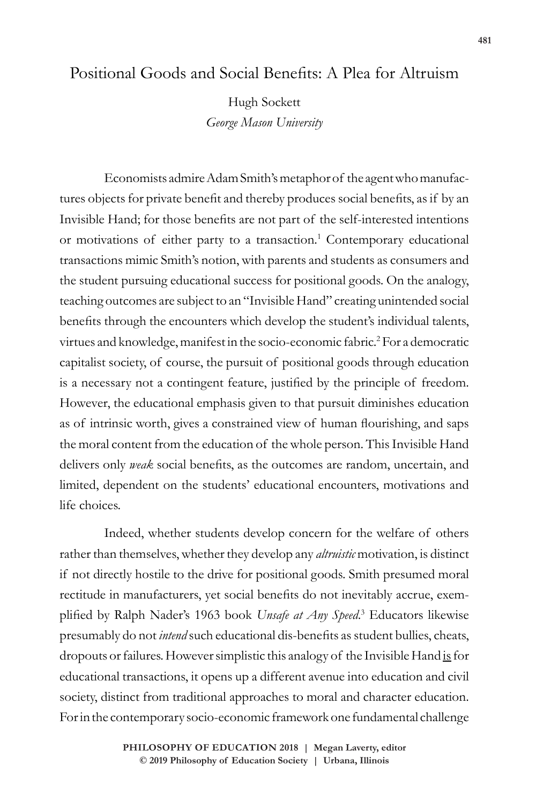# Positional Goods and Social Benefits: A Plea for Altruism

Hugh Sockett *George Mason University*

Economists admire Adam Smith's metaphor of the agent who manufactures objects for private benefit and thereby produces social benefits, as if by an Invisible Hand; for those benefits are not part of the self-interested intentions or motivations of either party to a transaction.<sup>1</sup> Contemporary educational transactions mimic Smith's notion, with parents and students as consumers and the student pursuing educational success for positional goods. On the analogy, teaching outcomes are subject to an "Invisible Hand" creating unintended social benefits through the encounters which develop the student's individual talents, virtues and knowledge, manifest in the socio-economic fabric.<sup>2</sup> For a democratic capitalist society, of course, the pursuit of positional goods through education is a necessary not a contingent feature, justified by the principle of freedom. However, the educational emphasis given to that pursuit diminishes education as of intrinsic worth, gives a constrained view of human flourishing, and saps the moral content from the education of the whole person. This Invisible Hand delivers only *weak* social benefits, as the outcomes are random, uncertain, and limited, dependent on the students' educational encounters, motivations and life choices.

Indeed, whether students develop concern for the welfare of others rather than themselves, whether they develop any *altruistic* motivation, is distinct if not directly hostile to the drive for positional goods. Smith presumed moral rectitude in manufacturers, yet social benefits do not inevitably accrue, exemplified by Ralph Nader's 1963 book *Unsafe at Any Speed*. 3 Educators likewise presumably do not *intend* such educational dis-benefits as student bullies, cheats, dropouts or failures. However simplistic this analogy of the Invisible Hand is for educational transactions, it opens up a different avenue into education and civil society, distinct from traditional approaches to moral and character education. For in the contemporary socio-economic framework one fundamental challenge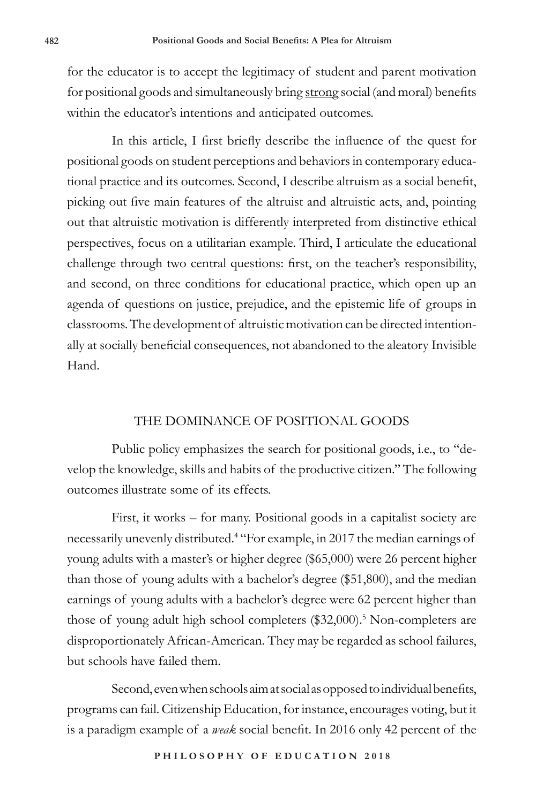for the educator is to accept the legitimacy of student and parent motivation for positional goods and simultaneously bring strong social (and moral) benefits within the educator's intentions and anticipated outcomes.

In this article, I first briefly describe the influence of the quest for positional goods on student perceptions and behaviors in contemporary educational practice and its outcomes. Second, I describe altruism as a social benefit, picking out five main features of the altruist and altruistic acts, and, pointing out that altruistic motivation is differently interpreted from distinctive ethical perspectives, focus on a utilitarian example. Third, I articulate the educational challenge through two central questions: first, on the teacher's responsibility, and second, on three conditions for educational practice, which open up an agenda of questions on justice, prejudice, and the epistemic life of groups in classrooms. The development of altruistic motivation can be directed intentionally at socially beneficial consequences, not abandoned to the aleatory Invisible Hand.

### THE DOMINANCE OF POSITIONAL GOODS

Public policy emphasizes the search for positional goods, i.e., to "develop the knowledge, skills and habits of the productive citizen." The following outcomes illustrate some of its effects.

First, it works – for many. Positional goods in a capitalist society are necessarily unevenly distributed.<sup>4</sup> "For example, in 2017 the median earnings of young adults with a master's or higher degree (\$65,000) were 26 percent higher than those of young adults with a bachelor's degree (\$51,800), and the median earnings of young adults with a bachelor's degree were 62 percent higher than those of young adult high school completers (\$32,000).<sup>5</sup> Non-completers are disproportionately African-American. They may be regarded as school failures, but schools have failed them.

Second, even when schools aim at social as opposed to individual benefits, programs can fail. Citizenship Education, for instance, encourages voting, but it is a paradigm example of a *weak* social benefit. In 2016 only 42 percent of the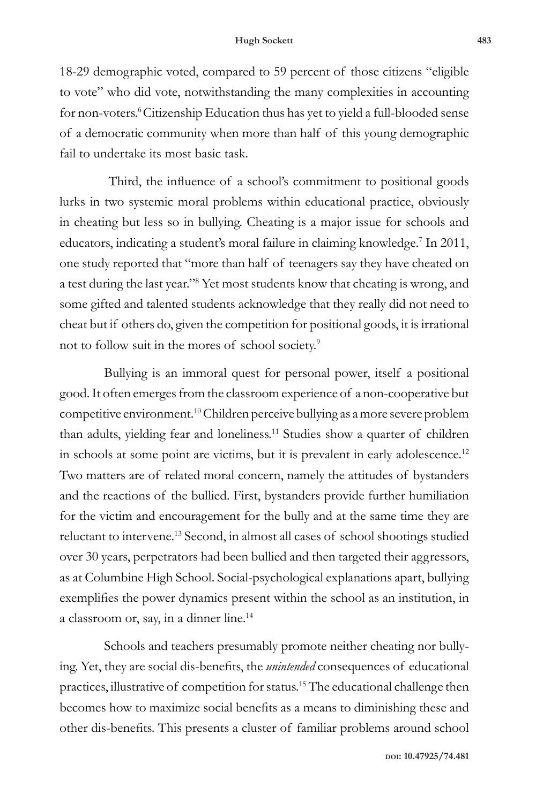18-29 demographic voted, compared to 59 percent of those citizens "eligible to vote" who did vote, notwithstanding the many complexities in accounting for non-voters.<sup>6</sup>Citizenship Education thus has yet to yield a full-blooded sense of a democratic community when more than half of this young demographic fail to undertake its most basic task.

 Third, the influence of a school's commitment to positional goods lurks in two systemic moral problems within educational practice, obviously in cheating but less so in bullying. Cheating is a major issue for schools and educators, indicating a student's moral failure in claiming knowledge.<sup>7</sup> In 2011, one study reported that "more than half of teenagers say they have cheated on a test during the last year."8 Yet most students know that cheating is wrong, and some gifted and talented students acknowledge that they really did not need to cheat but if others do, given the competition for positional goods, it is irrational not to follow suit in the mores of school society.<sup>9</sup>

Bullying is an immoral quest for personal power, itself a positional good. It often emerges from the classroom experience of a non-cooperative but competitive environment.10 Children perceive bullying as a more severe problem than adults, yielding fear and loneliness.<sup>11</sup> Studies show a quarter of children in schools at some point are victims, but it is prevalent in early adolescence.<sup>12</sup> Two matters are of related moral concern, namely the attitudes of bystanders and the reactions of the bullied. First, bystanders provide further humiliation for the victim and encouragement for the bully and at the same time they are reluctant to intervene.13 Second, in almost all cases of school shootings studied over 30 years, perpetrators had been bullied and then targeted their aggressors, as at Columbine High School. Social-psychological explanations apart, bullying exemplifies the power dynamics present within the school as an institution, in a classroom or, say, in a dinner line.<sup>14</sup>

Schools and teachers presumably promote neither cheating nor bullying. Yet, they are social dis-benefits, the *unintended* consequences of educational practices, illustrative of competition for status.15 The educational challenge then becomes how to maximize social benefits as a means to diminishing these and other dis-benefits. This presents a cluster of familiar problems around school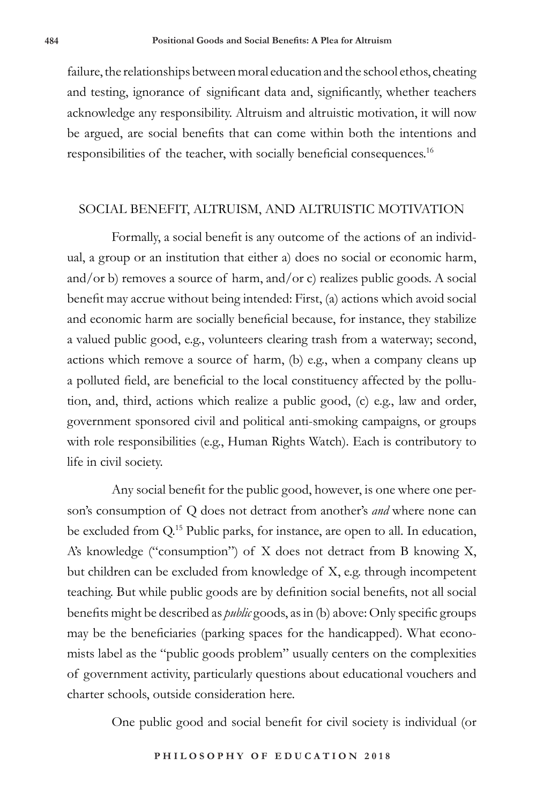failure, the relationships between moral education and the school ethos, cheating and testing, ignorance of significant data and, significantly, whether teachers acknowledge any responsibility. Altruism and altruistic motivation, it will now be argued, are social benefits that can come within both the intentions and responsibilities of the teacher, with socially beneficial consequences.16

#### SOCIAL BENEFIT, ALTRUISM, AND ALTRUISTIC MOTIVATION

Formally, a social benefit is any outcome of the actions of an individual, a group or an institution that either a) does no social or economic harm, and/or b) removes a source of harm, and/or c) realizes public goods. A social benefit may accrue without being intended: First, (a) actions which avoid social and economic harm are socially beneficial because, for instance, they stabilize a valued public good, e.g., volunteers clearing trash from a waterway; second, actions which remove a source of harm, (b) e.g., when a company cleans up a polluted field, are beneficial to the local constituency affected by the pollution, and, third, actions which realize a public good, (c) e.g., law and order, government sponsored civil and political anti-smoking campaigns, or groups with role responsibilities (e.g., Human Rights Watch). Each is contributory to life in civil society.

Any social benefit for the public good, however, is one where one person's consumption of Q does not detract from another's *and* where none can be excluded from Q.<sup>15</sup> Public parks, for instance, are open to all. In education, A's knowledge ("consumption") of X does not detract from B knowing X, but children can be excluded from knowledge of X, e.g. through incompetent teaching. But while public goods are by definition social benefits, not all social benefits might be described as *public* goods, as in (b) above: Only specific groups may be the beneficiaries (parking spaces for the handicapped). What economists label as the "public goods problem" usually centers on the complexities of government activity, particularly questions about educational vouchers and charter schools, outside consideration here.

One public good and social benefit for civil society is individual (or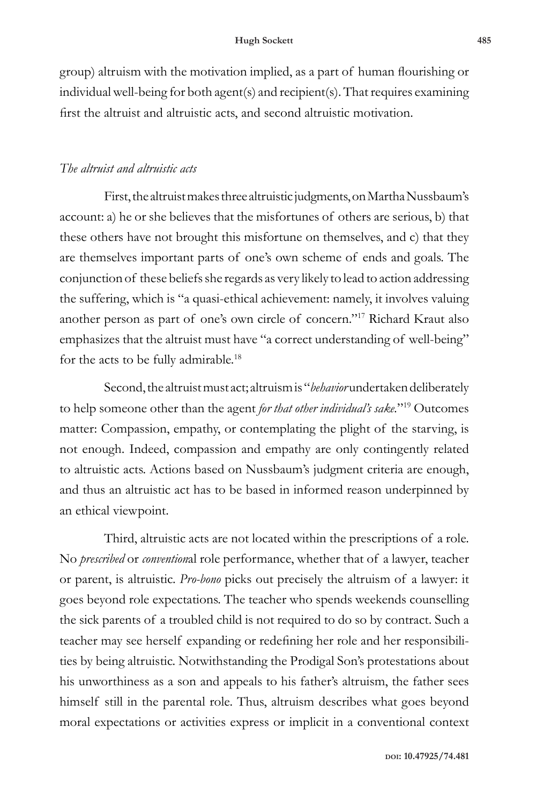group) altruism with the motivation implied, as a part of human flourishing or individual well-being for both agent(s) and recipient(s). That requires examining first the altruist and altruistic acts, and second altruistic motivation.

#### *The altruist and altruistic acts*

First, the altruist makes three altruistic judgments, on Martha Nussbaum's account: a) he or she believes that the misfortunes of others are serious, b) that these others have not brought this misfortune on themselves, and c) that they are themselves important parts of one's own scheme of ends and goals. The conjunction of these beliefs she regards as very likely to lead to action addressing the suffering, which is "a quasi-ethical achievement: namely, it involves valuing another person as part of one's own circle of concern."17 Richard Kraut also emphasizes that the altruist must have "a correct understanding of well-being" for the acts to be fully admirable.<sup>18</sup>

Second, the altruist must act; altruism is "*behavior* undertaken deliberately to help someone other than the agent *for that other individual's sake.*"19 Outcomes matter: Compassion, empathy, or contemplating the plight of the starving, is not enough. Indeed, compassion and empathy are only contingently related to altruistic acts. Actions based on Nussbaum's judgment criteria are enough, and thus an altruistic act has to be based in informed reason underpinned by an ethical viewpoint.

Third, altruistic acts are not located within the prescriptions of a role. No *prescribed* or *convention*al role performance, whether that of a lawyer, teacher or parent, is altruistic. *Pro-bono* picks out precisely the altruism of a lawyer: it goes beyond role expectations. The teacher who spends weekends counselling the sick parents of a troubled child is not required to do so by contract. Such a teacher may see herself expanding or redefining her role and her responsibilities by being altruistic. Notwithstanding the Prodigal Son's protestations about his unworthiness as a son and appeals to his father's altruism, the father sees himself still in the parental role. Thus, altruism describes what goes beyond moral expectations or activities express or implicit in a conventional context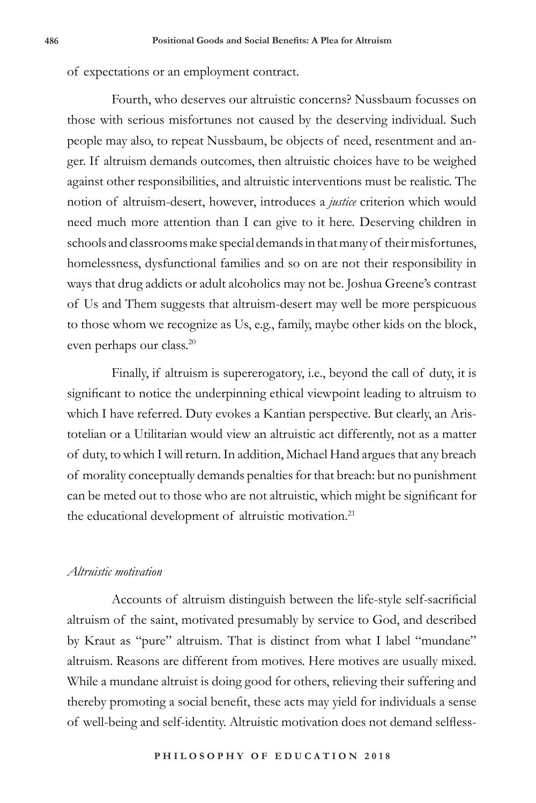of expectations or an employment contract.

Fourth, who deserves our altruistic concerns? Nussbaum focusses on those with serious misfortunes not caused by the deserving individual. Such people may also, to repeat Nussbaum, be objects of need, resentment and anger. If altruism demands outcomes, then altruistic choices have to be weighed against other responsibilities, and altruistic interventions must be realistic. The notion of altruism-desert, however, introduces a *justice* criterion which would need much more attention than I can give to it here. Deserving children in schools and classrooms make special demands in that many of their misfortunes, homelessness, dysfunctional families and so on are not their responsibility in ways that drug addicts or adult alcoholics may not be. Joshua Greene's contrast of Us and Them suggests that altruism-desert may well be more perspicuous to those whom we recognize as Us, e.g., family, maybe other kids on the block, even perhaps our class.20

Finally, if altruism is supererogatory, i.e., beyond the call of duty, it is significant to notice the underpinning ethical viewpoint leading to altruism to which I have referred. Duty evokes a Kantian perspective. But clearly, an Aristotelian or a Utilitarian would view an altruistic act differently, not as a matter of duty, to which I will return. In addition, Michael Hand argues that any breach of morality conceptually demands penalties for that breach: but no punishment can be meted out to those who are not altruistic, which might be significant for the educational development of altruistic motivation.<sup>21</sup>

#### *Altruistic motivation*

Accounts of altruism distinguish between the life-style self-sacrificial altruism of the saint, motivated presumably by service to God, and described by Kraut as "pure" altruism. That is distinct from what I label "mundane" altruism. Reasons are different from motives. Here motives are usually mixed. While a mundane altruist is doing good for others, relieving their suffering and thereby promoting a social benefit, these acts may yield for individuals a sense of well-being and self-identity. Altruistic motivation does not demand selfless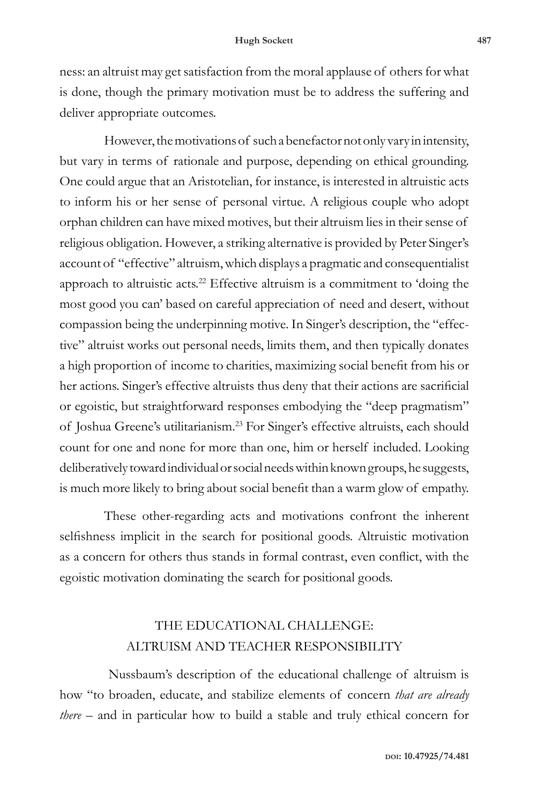ness: an altruist may get satisfaction from the moral applause of others for what is done, though the primary motivation must be to address the suffering and deliver appropriate outcomes.

However, the motivations of such a benefactor not only vary in intensity, but vary in terms of rationale and purpose, depending on ethical grounding. One could argue that an Aristotelian, for instance, is interested in altruistic acts to inform his or her sense of personal virtue. A religious couple who adopt orphan children can have mixed motives, but their altruism lies in their sense of religious obligation. However, a striking alternative is provided by Peter Singer's account of "effective" altruism, which displays a pragmatic and consequentialist approach to altruistic acts.<sup>22</sup> Effective altruism is a commitment to 'doing the most good you can' based on careful appreciation of need and desert, without compassion being the underpinning motive. In Singer's description, the "effective" altruist works out personal needs, limits them, and then typically donates a high proportion of income to charities, maximizing social benefit from his or her actions. Singer's effective altruists thus deny that their actions are sacrificial or egoistic, but straightforward responses embodying the "deep pragmatism" of Joshua Greene's utilitarianism.23 For Singer's effective altruists, each should count for one and none for more than one, him or herself included. Looking deliberatively toward individual or social needs within known groups, he suggests, is much more likely to bring about social benefit than a warm glow of empathy.

These other-regarding acts and motivations confront the inherent selfishness implicit in the search for positional goods. Altruistic motivation as a concern for others thus stands in formal contrast, even conflict, with the egoistic motivation dominating the search for positional goods.

### THE EDUCATIONAL CHALLENGE: ALTRUISM AND TEACHER RESPONSIBILITY

Nussbaum's description of the educational challenge of altruism is how "to broaden, educate, and stabilize elements of concern *that are already there* – and in particular how to build a stable and truly ethical concern for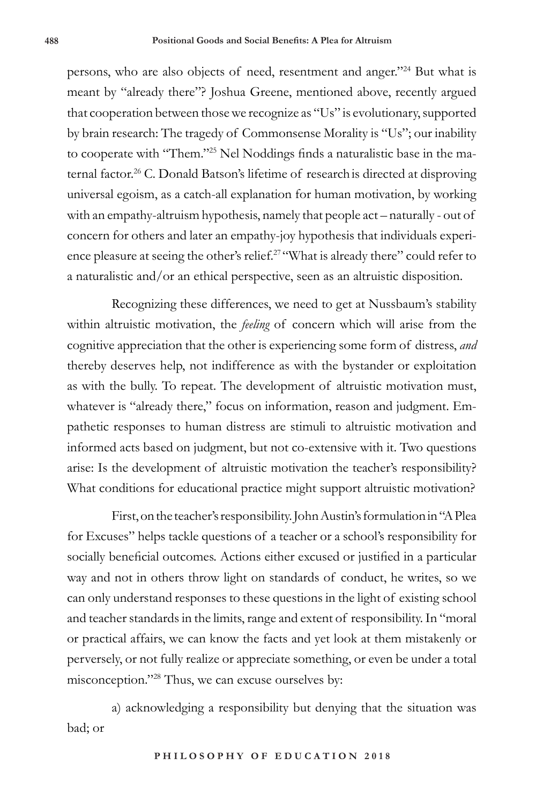persons, who are also objects of need, resentment and anger."<sup>24</sup> But what is meant by "already there"? Joshua Greene, mentioned above, recently argued that cooperation between those we recognize as "Us" is evolutionary, supported by brain research: The tragedy of Commonsense Morality is "Us"; our inability to cooperate with "Them."25 Nel Noddings finds a naturalistic base in the maternal factor.<sup>26</sup> C. Donald Batson's lifetime of research is directed at disproving universal egoism, as a catch-all explanation for human motivation, by working with an empathy-altruism hypothesis, namely that people act – naturally - out of concern for others and later an empathy-joy hypothesis that individuals experience pleasure at seeing the other's relief.<sup>27</sup> "What is already there" could refer to a naturalistic and/or an ethical perspective, seen as an altruistic disposition.

Recognizing these differences, we need to get at Nussbaum's stability within altruistic motivation, the *feeling* of concern which will arise from the cognitive appreciation that the other is experiencing some form of distress, *and* thereby deserves help, not indifference as with the bystander or exploitation as with the bully. To repeat. The development of altruistic motivation must, whatever is "already there," focus on information, reason and judgment. Empathetic responses to human distress are stimuli to altruistic motivation and informed acts based on judgment, but not co-extensive with it. Two questions arise: Is the development of altruistic motivation the teacher's responsibility? What conditions for educational practice might support altruistic motivation?

First, on the teacher's responsibility. John Austin's formulation in "A Plea for Excuses" helps tackle questions of a teacher or a school's responsibility for socially beneficial outcomes. Actions either excused or justified in a particular way and not in others throw light on standards of conduct, he writes, so we can only understand responses to these questions in the light of existing school and teacher standards in the limits, range and extent of responsibility. In "moral or practical affairs, we can know the facts and yet look at them mistakenly or perversely, or not fully realize or appreciate something, or even be under a total misconception."28 Thus, we can excuse ourselves by:

a) acknowledging a responsibility but denying that the situation was bad; or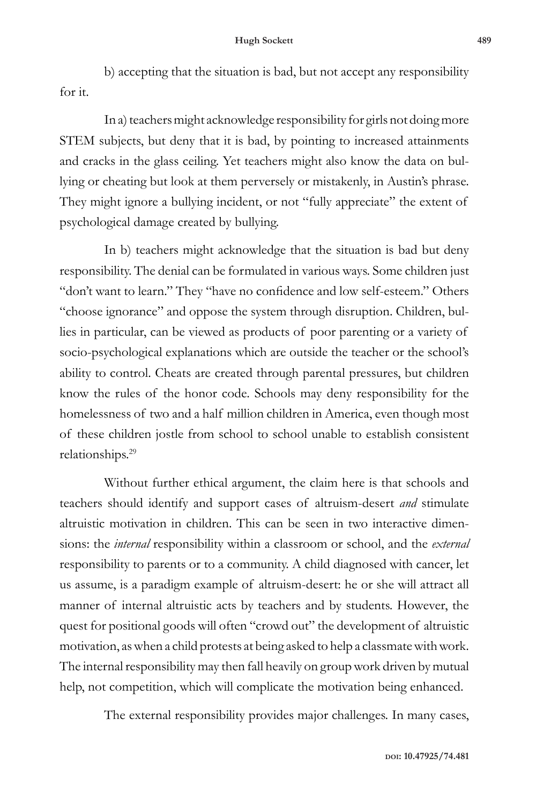b) accepting that the situation is bad, but not accept any responsibility for it.

In a) teachers might acknowledge responsibility for girls not doing more STEM subjects, but deny that it is bad, by pointing to increased attainments and cracks in the glass ceiling. Yet teachers might also know the data on bullying or cheating but look at them perversely or mistakenly, in Austin's phrase. They might ignore a bullying incident, or not "fully appreciate" the extent of psychological damage created by bullying.

In b) teachers might acknowledge that the situation is bad but deny responsibility. The denial can be formulated in various ways. Some children just "don't want to learn." They "have no confidence and low self-esteem." Others "choose ignorance" and oppose the system through disruption. Children, bullies in particular, can be viewed as products of poor parenting or a variety of socio-psychological explanations which are outside the teacher or the school's ability to control. Cheats are created through parental pressures, but children know the rules of the honor code. Schools may deny responsibility for the homelessness of two and a half million children in America, even though most of these children jostle from school to school unable to establish consistent relationships.29

Without further ethical argument, the claim here is that schools and teachers should identify and support cases of altruism-desert *and* stimulate altruistic motivation in children. This can be seen in two interactive dimensions: the *internal* responsibility within a classroom or school, and the *external* responsibility to parents or to a community. A child diagnosed with cancer, let us assume, is a paradigm example of altruism-desert: he or she will attract all manner of internal altruistic acts by teachers and by students. However, the quest for positional goods will often "crowd out" the development of altruistic motivation, as when a child protests at being asked to help a classmate with work. The internal responsibility may then fall heavily on group work driven by mutual help, not competition, which will complicate the motivation being enhanced.

The external responsibility provides major challenges. In many cases,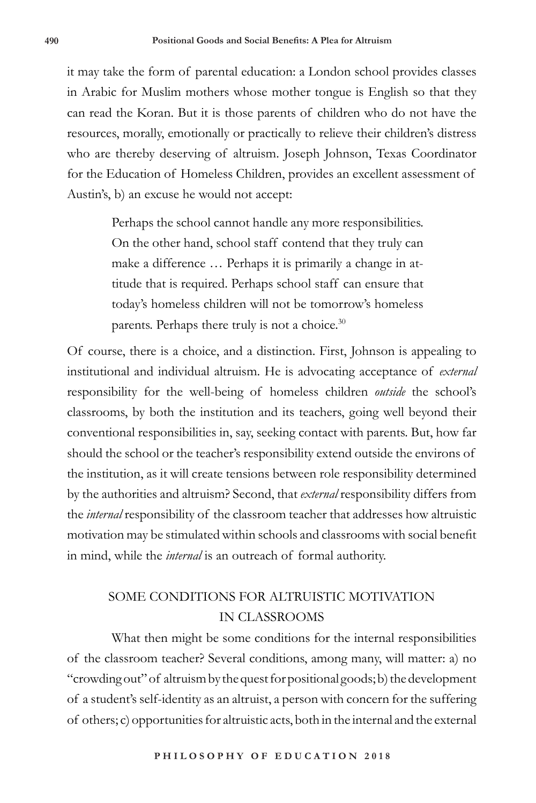it may take the form of parental education: a London school provides classes in Arabic for Muslim mothers whose mother tongue is English so that they can read the Koran. But it is those parents of children who do not have the resources, morally, emotionally or practically to relieve their children's distress who are thereby deserving of altruism. Joseph Johnson, Texas Coordinator for the Education of Homeless Children, provides an excellent assessment of Austin's, b) an excuse he would not accept:

> Perhaps the school cannot handle any more responsibilities. On the other hand, school staff contend that they truly can make a difference … Perhaps it is primarily a change in attitude that is required. Perhaps school staff can ensure that today's homeless children will not be tomorrow's homeless parents. Perhaps there truly is not a choice.30

Of course, there is a choice, and a distinction. First, Johnson is appealing to institutional and individual altruism. He is advocating acceptance of *external* responsibility for the well-being of homeless children *outside* the school's classrooms, by both the institution and its teachers, going well beyond their conventional responsibilities in, say, seeking contact with parents. But, how far should the school or the teacher's responsibility extend outside the environs of the institution, as it will create tensions between role responsibility determined by the authorities and altruism? Second, that *external* responsibility differs from the *internal* responsibility of the classroom teacher that addresses how altruistic motivation may be stimulated within schools and classrooms with social benefit in mind, while the *internal* is an outreach of formal authority.

## SOME CONDITIONS FOR ALTRUISTIC MOTIVATION IN CLASSROOMS

What then might be some conditions for the internal responsibilities of the classroom teacher? Several conditions, among many, will matter: a) no "crowding out" of altruism by the quest for positional goods; b) the development of a student's self-identity as an altruist, a person with concern for the suffering of others; c) opportunities for altruistic acts, both in the internal and the external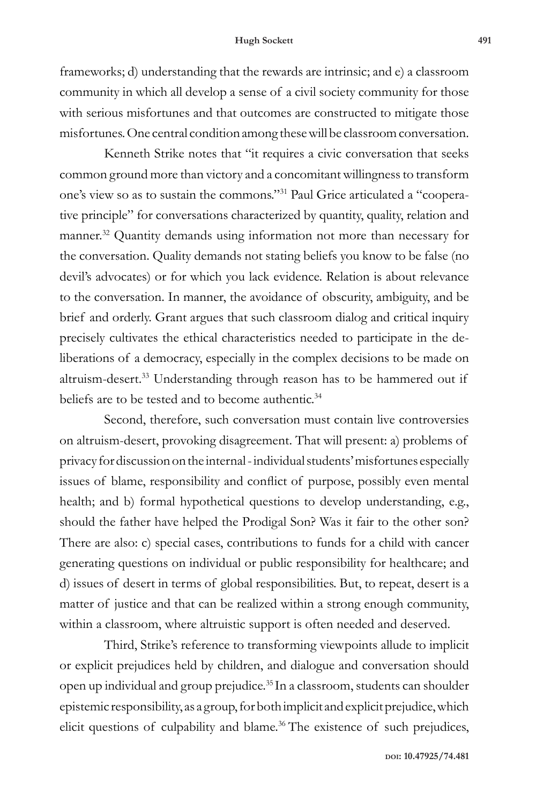#### **Hugh Sockett 491**

frameworks; d) understanding that the rewards are intrinsic; and e) a classroom community in which all develop a sense of a civil society community for those with serious misfortunes and that outcomes are constructed to mitigate those misfortunes. One central condition among these will be classroom conversation.

Kenneth Strike notes that "it requires a civic conversation that seeks common ground more than victory and a concomitant willingness to transform one's view so as to sustain the commons."31 Paul Grice articulated a "cooperative principle" for conversations characterized by quantity, quality, relation and manner.<sup>32</sup> Quantity demands using information not more than necessary for the conversation. Quality demands not stating beliefs you know to be false (no devil's advocates) or for which you lack evidence. Relation is about relevance to the conversation. In manner, the avoidance of obscurity, ambiguity, and be brief and orderly. Grant argues that such classroom dialog and critical inquiry precisely cultivates the ethical characteristics needed to participate in the deliberations of a democracy, especially in the complex decisions to be made on altruism-desert.33 Understanding through reason has to be hammered out if beliefs are to be tested and to become authentic.<sup>34</sup>

Second, therefore, such conversation must contain live controversies on altruism-desert, provoking disagreement. That will present: a) problems of privacy for discussion on the internal - individual students' misfortunes especially issues of blame, responsibility and conflict of purpose, possibly even mental health; and b) formal hypothetical questions to develop understanding, e.g., should the father have helped the Prodigal Son? Was it fair to the other son? There are also: c) special cases, contributions to funds for a child with cancer generating questions on individual or public responsibility for healthcare; and d) issues of desert in terms of global responsibilities. But, to repeat, desert is a matter of justice and that can be realized within a strong enough community, within a classroom, where altruistic support is often needed and deserved.

Third, Strike's reference to transforming viewpoints allude to implicit or explicit prejudices held by children, and dialogue and conversation should open up individual and group prejudice.35 In a classroom, students can shoulder epistemic responsibility, as a group, for both implicit and explicit prejudice, which elicit questions of culpability and blame.<sup>36</sup> The existence of such prejudices,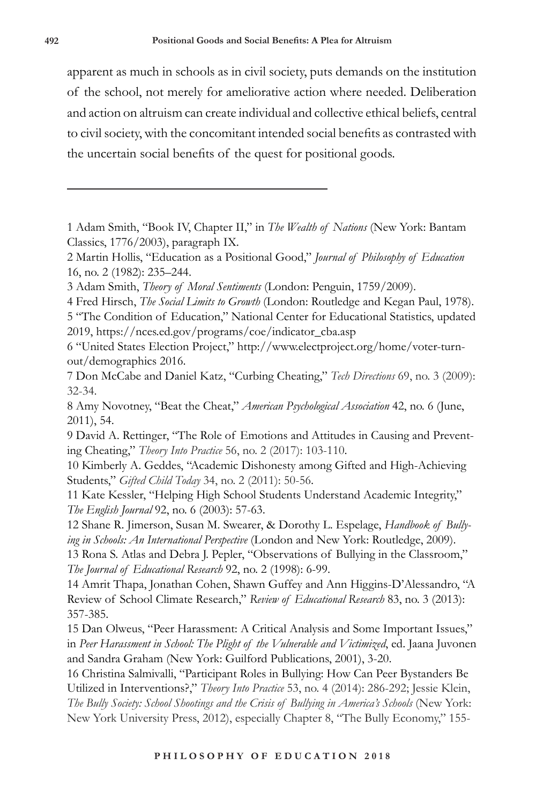apparent as much in schools as in civil society, puts demands on the institution of the school, not merely for ameliorative action where needed. Deliberation and action on altruism can create individual and collective ethical beliefs, central to civil society, with the concomitant intended social benefits as contrasted with the uncertain social benefits of the quest for positional goods.

1 Adam Smith, "Book IV, Chapter II," in *The Wealth of Nations* (New York: Bantam Classics, 1776/2003), paragraph IX.

2 Martin Hollis, "Education as a Positional Good," *Journal of Philosophy of Education* 16, no. 2 (1982): 235–244.

3 Adam Smith, *Theory of Moral Sentiments* (London: Penguin, 1759/2009).

4 Fred Hirsch, *The Social Limits to Growth* (London: Routledge and Kegan Paul, 1978).

5 "The Condition of Education," National Center for Educational Statistics, updated 2019, https://nces.ed.gov/programs/coe/indicator\_cba.asp

6 "United States Election Project," http://www.electproject.org/home/voter-turnout/demographics 2016.

7 Don McCabe and Daniel Katz, "Curbing Cheating," *Tech Directions* 69, no. 3 (2009): 32-34.

8 Amy Novotney, "Beat the Cheat," *American Psychological Association* 42, no. 6 (June, 2011), 54.

9 David A. Rettinger, "The Role of Emotions and Attitudes in Causing and Preventing Cheating," *Theory Into Practice* 56, no. 2 (2017): 103-110.

10 Kimberly A. Geddes, "Academic Dishonesty among Gifted and High-Achieving Students," *Gifted Child Today* 34, no. 2 (2011): 50-56.

11 Kate Kessler, "Helping High School Students Understand Academic Integrity," *The English Journal* 92, no. 6 (2003): 57-63.

12 Shane R. Jimerson, Susan M. Swearer, & Dorothy L. Espelage, *Handbook of Bullying in Schools: An International Perspective* (London and New York: Routledge, 2009).

13 Rona S. Atlas and Debra J. Pepler, "Observations of Bullying in the Classroom," *The Journal of Educational Research* 92, no. 2 (1998): 6-99.

14 Amrit Thapa, Jonathan Cohen, Shawn Guffey and Ann Higgins-D'Alessandro, "A Review of School Climate Research," *Review of Educational Research* 83, no. 3 (2013): 357-385.

15 Dan Olweus, "Peer Harassment: A Critical Analysis and Some Important Issues," in *Peer Harassment in School: The Plight of the Vulnerable and Victimized*, ed. Jaana Juvonen and Sandra Graham (New York: Guilford Publications, 2001), 3-20.

16 Christina Salmivalli, "Participant Roles in Bullying: How Can Peer Bystanders Be Utilized in Interventions?," *Theory Into Practice* 53, no. 4 (2014): 286-292; Jessie Klein, *The Bully Society: School Shootings and the Crisis of Bullying in America's Schools* (New York: New York University Press, 2012), especially Chapter 8, "The Bully Economy," 155